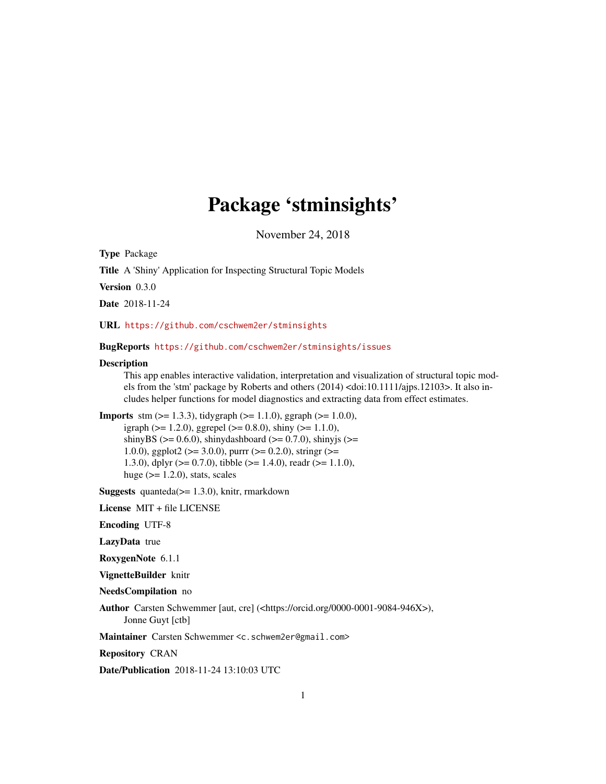## Package 'stminsights'

November 24, 2018

<span id="page-0-0"></span>Type Package

Title A 'Shiny' Application for Inspecting Structural Topic Models

Version 0.3.0

Date 2018-11-24

URL <https://github.com/cschwem2er/stminsights>

BugReports <https://github.com/cschwem2er/stminsights/issues>

#### **Description**

This app enables interactive validation, interpretation and visualization of structural topic models from the 'stm' package by Roberts and others (2014) <doi:10.1111/ajps.12103>. It also includes helper functions for model diagnostics and extracting data from effect estimates.

**Imports** stm  $(>= 1.3.3)$ , tidygraph  $(>= 1.1.0)$ , ggraph  $(>= 1.0.0)$ , igraph ( $>= 1.2.0$ ), ggrepel ( $>= 0.8.0$ ), shiny ( $>= 1.1.0$ ), shinyBS ( $>= 0.6.0$ ), shinydashboard ( $>= 0.7.0$ ), shinyjs ( $>=$ 1.0.0), ggplot2 ( $> = 3.0.0$ ), purrr ( $> = 0.2.0$ ), stringr ( $> =$ 1.3.0), dplyr (>= 0.7.0), tibble (>= 1.4.0), readr (>= 1.1.0), huge  $(>= 1.2.0)$ , stats, scales

**Suggests** quanteda( $>= 1.3.0$ ), knitr, rmarkdown

License MIT + file LICENSE

Encoding UTF-8

LazyData true

RoxygenNote 6.1.1

VignetteBuilder knitr

NeedsCompilation no

Author Carsten Schwemmer [aut, cre] (<https://orcid.org/0000-0001-9084-946X>), Jonne Guyt [ctb]

Maintainer Carsten Schwemmer <c.schwem2er@gmail.com>

Repository CRAN

Date/Publication 2018-11-24 13:10:03 UTC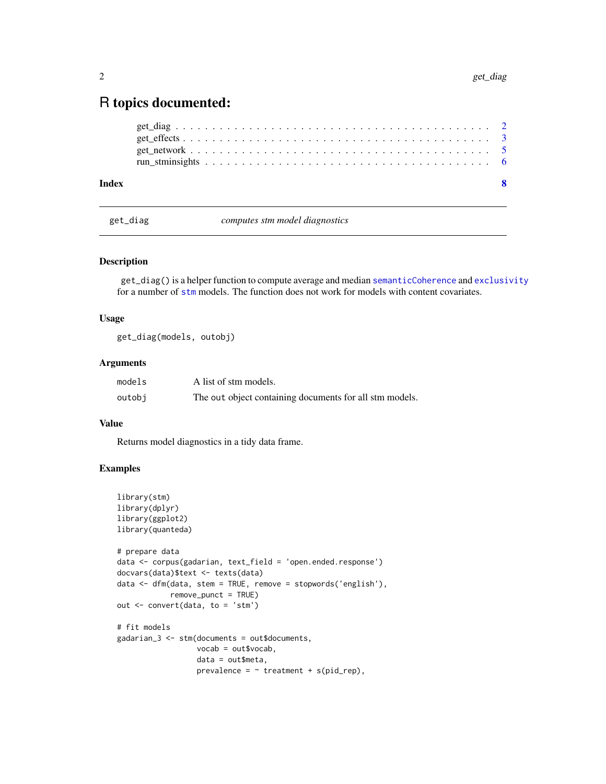### <span id="page-1-0"></span>R topics documented:

| Index |  |  |  |  |  |  |  |  |  |  |  |  |  |  |  |  |  | $\mathbf{R}$ |
|-------|--|--|--|--|--|--|--|--|--|--|--|--|--|--|--|--|--|--------------|
|       |  |  |  |  |  |  |  |  |  |  |  |  |  |  |  |  |  |              |
|       |  |  |  |  |  |  |  |  |  |  |  |  |  |  |  |  |  |              |
|       |  |  |  |  |  |  |  |  |  |  |  |  |  |  |  |  |  |              |
|       |  |  |  |  |  |  |  |  |  |  |  |  |  |  |  |  |  |              |

get\_diag *computes stm model diagnostics*

#### Description

get\_diag() is a helper function to compute average and median [semanticCoherence](#page-0-0) and [exclusivity](#page-0-0) for a number of [stm](#page-0-0) models. The function does not work for models with content covariates.

#### Usage

get\_diag(models, outobj)

#### Arguments

| models | A list of stm models.                                   |
|--------|---------------------------------------------------------|
| outobi | The out object containing documents for all stm models. |

#### Value

Returns model diagnostics in a tidy data frame.

```
library(stm)
library(dplyr)
library(ggplot2)
library(quanteda)
# prepare data
data <- corpus(gadarian, text_field = 'open.ended.response')
docvars(data)$text <- texts(data)
data <- dfm(data, stem = TRUE, remove = stopwords('english'),
            remove_punct = TRUE)
out <- convert(data, to = 'stm')
# fit models
gadarian_3 <- stm(documents = out$documents,
                  vocab = out$vocab,
                  data = out$meta,
                  prevalence = \sim treatment + s(pid_rep),
```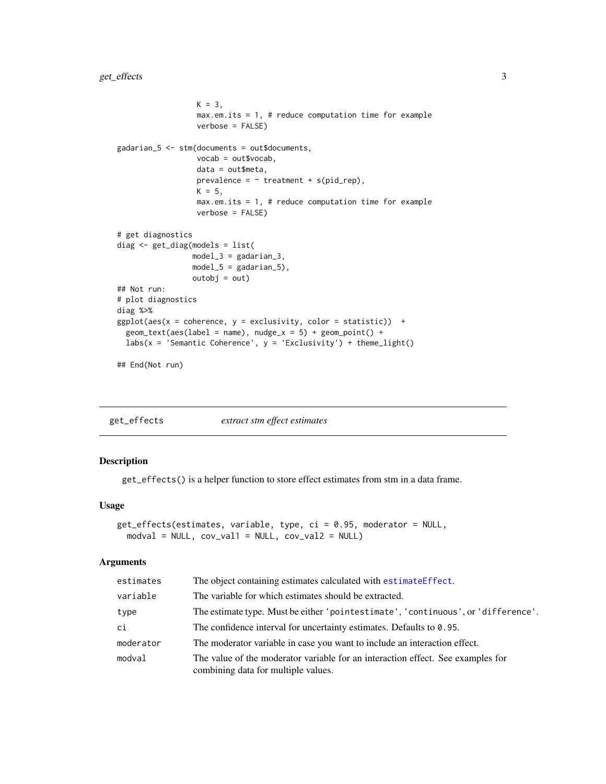```
K = 3,
                  max.em.its = 1, # reduce computation time for example
                  verbose = FALSE)
gadarian_5 <- stm(documents = out$documents,
                  vocab = out$vocab,
                  data = out$meta,
                  prevalence = \sim treatment + s(pid_rep),
                  K = 5,
                  max.em.its = 1, # reduce computation time for exampleverbose = FALSE)
# get diagnostics
diag <- get_diag(models = list(
                 model_3 = gadarian_3,
                 model_5 = gadarian_5),
                 outobj = out)
## Not run:
# plot diagnostics
diag %>%
ggplot(aes(x = coherence, y = exclusive, velocity, color = statistic)) +
 geom_text(aes(label = name), nude_x = 5) + geom_point() +
 labs(x = 'Semantic Coherence', y = 'Exclusivity') + theme_light()## End(Not run)
```
get\_effects *extract stm effect estimates*

#### Description

get\_effects() is a helper function to store effect estimates from stm in a data frame.

#### Usage

```
get_effects(estimates, variable, type, ci = 0.95, moderator = NULL,
 modval = NULL, cov_val1 = NULL, cov_val2 = NULL)
```
#### Arguments

| estimates | The object containing estimates calculated with estimateEffect.                                                        |
|-----------|------------------------------------------------------------------------------------------------------------------------|
| variable  | The variable for which estimates should be extracted.                                                                  |
| type      | The estimate type. Must be either 'pointestimate', 'continuous', or 'difference'.                                      |
| ci        | The confidence interval for uncertainty estimates. Defaults to 0.95.                                                   |
| moderator | The moderator variable in case you want to include an interaction effect.                                              |
| modval    | The value of the moderator variable for an interaction effect. See examples for<br>combining data for multiple values. |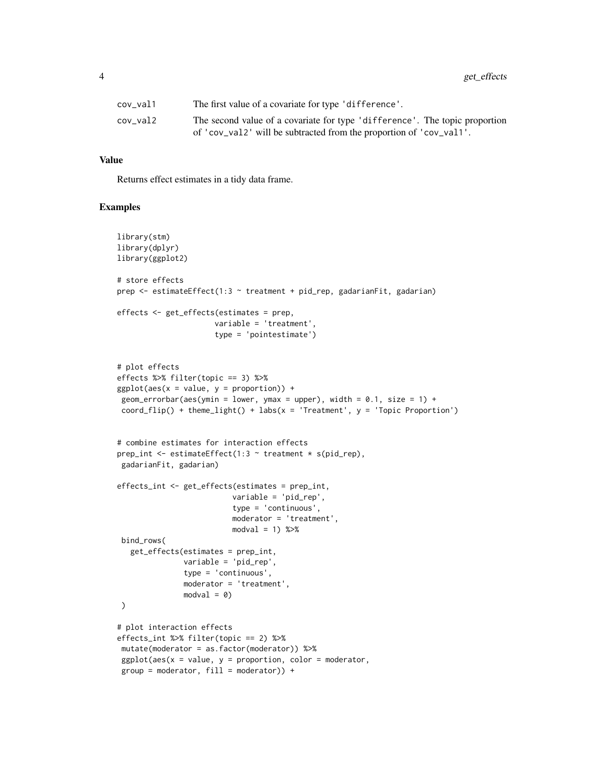| cov val1 | The first value of a covariate for type 'difference'.                       |
|----------|-----------------------------------------------------------------------------|
| cov val2 | The second value of a covariate for type 'difference'. The topic proportion |
|          | of 'cov_val2' will be subtracted from the proportion of 'cov_val1'.         |

#### Value

Returns effect estimates in a tidy data frame.

```
library(stm)
library(dplyr)
library(ggplot2)
# store effects
prep <- estimateEffect(1:3 ~ treatment + pid_rep, gadarianFit, gadarian)
effects <- get_effects(estimates = prep,
                      variable = 'treatment',
                      type = 'pointestimate')
# plot effects
effects %>% filter(topic == 3) %>%
ggplot(aes(x = value, y = proportion)) +geom_errorbar(aes(ymin = lower, ymax = upper), width = 0.1, size = 1) +
 coord_flip() + them = light() + labs(x = 'Treatment', y = 'Topic Proportion')# combine estimates for interaction effects
prep_int <- estimateEffect(1:3 ~ treatment * s(pid_rep),
 gadarianFit, gadarian)
effects_int <- get_effects(estimates = prep_int,
                          variable = 'pid_rep',
                          type = 'continuous',
                          moderator = 'treatment',
                          modval = 1) %>%
 bind_rows(
   get_effects(estimates = prep_int,
               variable = 'pid_rep',
               type = 'continuous',
               moderator = 'treatment',
               modval = 0\mathcal{L}# plot interaction effects
effects_int %>% filter(topic == 2) %>%
mutate(moderator = as.factor(moderator)) %>%
 ggplot(aes(x = value, y = proportion, color = modern,group = modernator, fill = modernator) +
```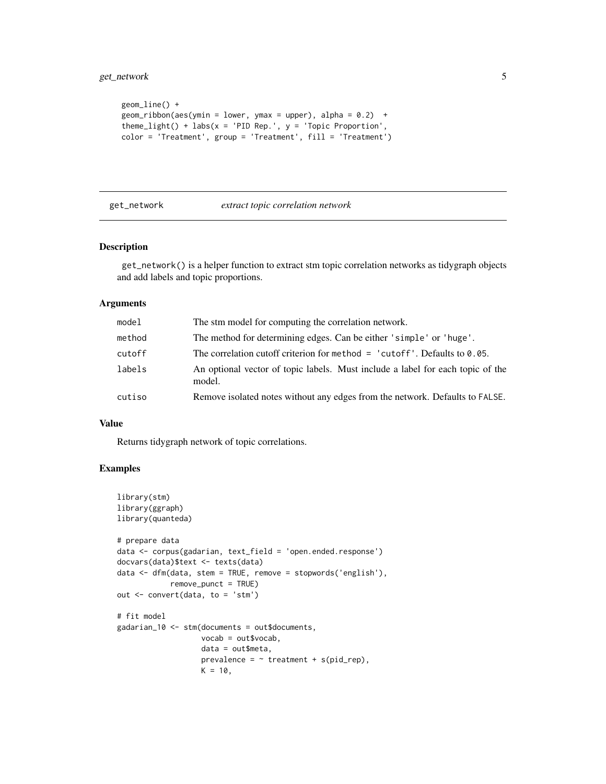```
geom_line() +
geom\_ribbon(aes(ymin = lower, ymax = upper), alpha = 0.2) +theme_light() + labs(x = 'PID Rep.', y = 'Topic Proportion',
color = 'Treatment', group = 'Treatment', fill = 'Treatment')
```
#### get\_network *extract topic correlation network*

#### Description

get\_network() is a helper function to extract stm topic correlation networks as tidygraph objects and add labels and topic proportions.

#### Arguments

| model  | The stm model for computing the correlation network.                                     |
|--------|------------------------------------------------------------------------------------------|
| method | The method for determining edges. Can be either 'simple' or 'huge'.                      |
| cutoff | The correlation cutoff criterion for method $=$ 'cutoff'. Defaults to 0.05.              |
| labels | An optional vector of topic labels. Must include a label for each topic of the<br>model. |
| cutiso | Remove isolated notes without any edges from the network. Defaults to FALSE.             |

#### Value

Returns tidygraph network of topic correlations.

```
library(stm)
library(ggraph)
library(quanteda)
# prepare data
data <- corpus(gadarian, text_field = 'open.ended.response')
docvars(data)$text <- texts(data)
data <- dfm(data, stem = TRUE, remove = stopwords('english'),
            remove_punct = TRUE)
out <- convert(data, to = 'stm')
# fit model
gadarian_10 <- stm(documents = out$documents,
                   vocab = out$vocab,
                   data = out$meta,
                   prevalence = \sim treatment + s(pid_rep),
                   K = 10,
```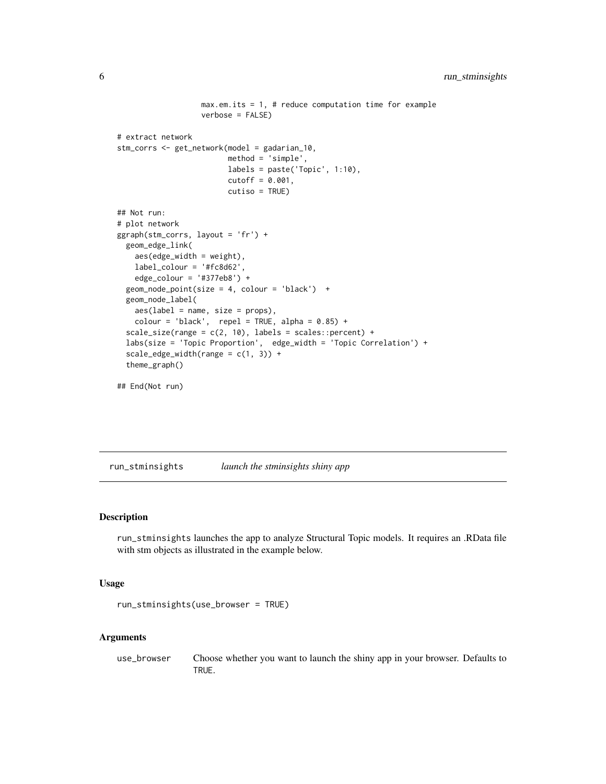```
max.em.its = 1, # reduce computation time for example
                   verbose = FALSE)
# extract network
stm_corrs <- get_network(model = gadarian_10,
                        method = 'simple',
                        labels = paste('Topic', 1:10),cutoff = 0.001,cutiso = TRUE)
## Not run:
# plot network
ggraph(stm_corrs, layout = 'fr') +
 geom_edge_link(
   aes(edge_width = weight),
   label_colour = '#fc8d62',
   edge_colour = '#377eb8') +
 geom_node_point(size = 4, colour = 'black') +
 geom_node_label(
   aes(label = name, size = props),color = 'black', repel = TRUE, alpha = 0.85) +
 scale_size(range = c(2, 10), labels = scales::percent) +
 labs(size = 'Topic Proportion', edge_width = 'Topic Correlation') +
 scale\_edge\_width(range = c(1, 3)) +theme_graph()
```

```
## End(Not run)
```
run\_stminsights *launch the stminsights shiny app*

#### Description

run\_stminsights launches the app to analyze Structural Topic models. It requires an .RData file with stm objects as illustrated in the example below.

#### Usage

```
run_stminsights(use_browser = TRUE)
```
#### Arguments

use\_browser Choose whether you want to launch the shiny app in your browser. Defaults to TRUE.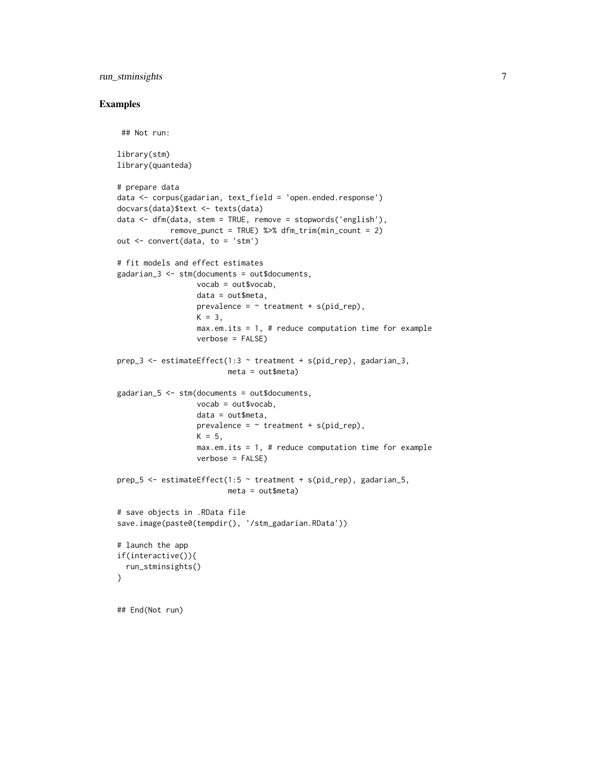#### run\_stminsights 7

```
## Not run:
library(stm)
library(quanteda)
# prepare data
data <- corpus(gadarian, text_field = 'open.ended.response')
docvars(data)$text <- texts(data)
data <- dfm(data, stem = TRUE, remove = stopwords('english'),
            remove_punct = TRUE) %>% dfm_trim(min_count = 2)
out <- convert(data, to = 'stm')
# fit models and effect estimates
gadarian_3 <- stm(documents = out$documents,
                  vocab = out$vocab,
                  data = out$meta,
                  prevalence = \sim treatment + s(pid_rep),
                  K = 3,
                  max.em.its = 1, # reduce computation time for exampleverbose = FALSE)
prep_3 <- estimateEffect(1:3 \sim treatment + s(pid_rep), gadarian_3,
                         meta = out$meta)
gadarian_5 <- stm(documents = out$documents,
                  vocab = out$vocab,
                  data = out$meta,
                  prevalence = \sim treatment + s(pid_rep),
                  K = 5,
                  max.em.its = 1, # reduce computation time for exampleverbose = FALSE)
prep_5 <- estimateEffect(1:5 ~ treatment + s(pid_rep), gadarian_5,
                         meta = out$meta)
# save objects in .RData file
save.image(paste0(tempdir(), '/stm_gadarian.RData'))
# launch the app
if(interactive()){
  run_stminsights()
}
## End(Not run)
```